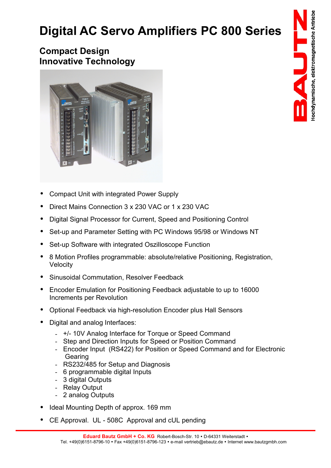## **Digital AC Servo Amplifiers PC 800 Series**

## **Compact Design Innovative Technology**



- Compact Unit with integrated Power Supply
- Direct Mains Connection 3 x 230 VAC or 1 x 230 VAC
- Digital Signal Processor for Current, Speed and Positioning Control
- Set-up and Parameter Setting with PC Windows 95/98 or Windows NT
- Set-up Software with integrated Oszilloscope Function
- 8 Motion Profiles programmable: absolute/relative Positioning, Registration, **Velocity**
- Sinusoidal Commutation, Resolver Feedback
- Encoder Emulation for Positioning Feedback adjustable to up to 16000 Increments per Revolution
- Optional Feedback via high-resolution Encoder plus Hall Sensors
- Digital and analog Interfaces:
	- +/- 10V Analog Interface for Torque or Speed Command
	- Step and Direction Inputs for Speed or Position Command
	- Encoder Input (RS422) for Position or Speed Command and for Electronic Gearing
	- RS232/485 for Setup and Diagnosis
	- 6 programmable digital Inputs
	- 3 digital Outputs
	- Relay Output
	- 2 analog Outputs
- Ideal Mounting Depth of approx. 169 mm
- CE Approval. UL 508C Approval and cUL pending